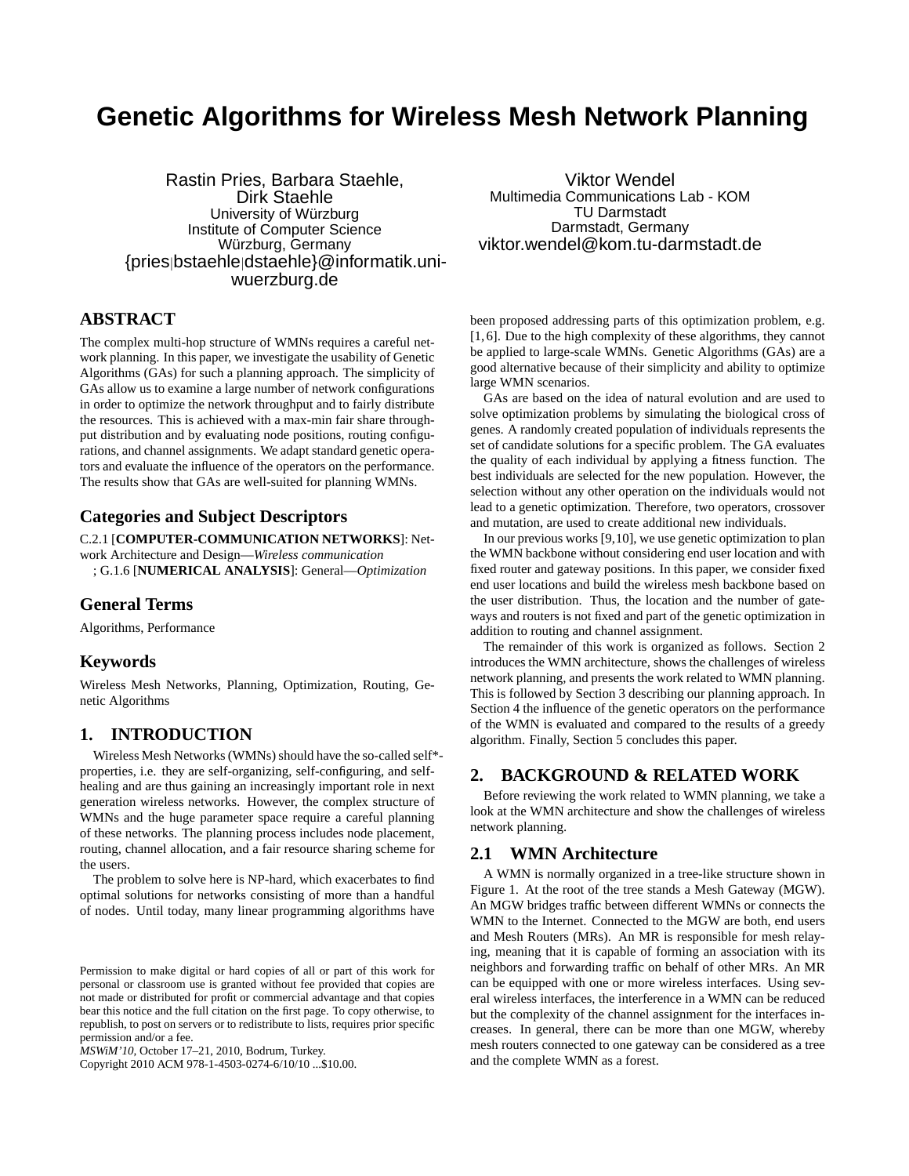## **Genetic Algorithms for Wireless Mesh Network Planning**

Rastin Pries, Barbara Staehle, Dirk Staehle University of Würzburg Institute of Computer Science Würzburg, Germany {pries|bstaehle|dstaehle}@informatik.uniwuerzburg.de

## **ABSTRACT**

The complex multi-hop structure of WMNs requires a careful network planning. In this paper, we investigate the usability of Genetic Algorithms (GAs) for such a planning approach. The simplicity of GAs allow us to examine a large number of network configurations in order to optimize the network throughput and to fairly distribute the resources. This is achieved with a max-min fair share throughput distribution and by evaluating node positions, routing configurations, and channel assignments. We adapt standard genetic operators and evaluate the influence of the operators on the performance. The results show that GAs are well-suited for planning WMNs.

## **Categories and Subject Descriptors**

C.2.1 [**COMPUTER-COMMUNICATION NETWORKS**]: Network Architecture and Design—*Wireless communication*

; G.1.6 [**NUMERICAL ANALYSIS**]: General—*Optimization*

## **General Terms**

Algorithms, Performance

## **Keywords**

Wireless Mesh Networks, Planning, Optimization, Routing, Genetic Algorithms

## **1. INTRODUCTION**

Wireless Mesh Networks (WMNs) should have the so-called self\* properties, i.e. they are self-organizing, self-configuring, and selfhealing and are thus gaining an increasingly important role in next generation wireless networks. However, the complex structure of WMNs and the huge parameter space require a careful planning of these networks. The planning process includes node placement, routing, channel allocation, and a fair resource sharing scheme for the users.

The problem to solve here is NP-hard, which exacerbates to find optimal solutions for networks consisting of more than a handful of nodes. Until today, many linear programming algorithms have

Copyright 2010 ACM 978-1-4503-0274-6/10/10 ...\$10.00.

Viktor Wendel Multimedia Communications Lab - KOM TU Darmstadt Darmstadt, Germany viktor.wendel@kom.tu-darmstadt.de

been proposed addressing parts of this optimization problem, e.g. [1, 6]. Due to the high complexity of these algorithms, they cannot be applied to large-scale WMNs. Genetic Algorithms (GAs) are a good alternative because of their simplicity and ability to optimize large WMN scenarios.

GAs are based on the idea of natural evolution and are used to solve optimization problems by simulating the biological cross of genes. A randomly created population of individuals represents the set of candidate solutions for a specific problem. The GA evaluates the quality of each individual by applying a fitness function. The best individuals are selected for the new population. However, the selection without any other operation on the individuals would not lead to a genetic optimization. Therefore, two operators, crossover and mutation, are used to create additional new individuals.

In our previous works [9,10], we use genetic optimization to plan the WMN backbone without considering end user location and with fixed router and gateway positions. In this paper, we consider fixed end user locations and build the wireless mesh backbone based on the user distribution. Thus, the location and the number of gateways and routers is not fixed and part of the genetic optimization in addition to routing and channel assignment.

The remainder of this work is organized as follows. Section 2 introduces the WMN architecture, shows the challenges of wireless network planning, and presents the work related to WMN planning. This is followed by Section 3 describing our planning approach. In Section 4 the influence of the genetic operators on the performance of the WMN is evaluated and compared to the results of a greedy algorithm. Finally, Section 5 concludes this paper.

## **2. BACKGROUND & RELATED WORK**

Before reviewing the work related to WMN planning, we take a look at the WMN architecture and show the challenges of wireless network planning.

## **2.1 WMN Architecture**

A WMN is normally organized in a tree-like structure shown in Figure 1. At the root of the tree stands a Mesh Gateway (MGW). An MGW bridges traffic between different WMNs or connects the WMN to the Internet. Connected to the MGW are both, end users and Mesh Routers (MRs). An MR is responsible for mesh relaying, meaning that it is capable of forming an association with its neighbors and forwarding traffic on behalf of other MRs. An MR can be equipped with one or more wireless interfaces. Using several wireless interfaces, the interference in a WMN can be reduced but the complexity of the channel assignment for the interfaces increases. In general, there can be more than one MGW, whereby mesh routers connected to one gateway can be considered as a tree and the complete WMN as a forest.

Permission to make digital or hard copies of all or part of this work for personal or classroom use is granted without fee provided that copies are not made or distributed for profit or commercial advantage and that copies bear this notice and the full citation on the first page. To copy otherwise, to republish, to post on servers or to redistribute to lists, requires prior specific permission and/or a fee.

*MSWiM'10,* October 17–21, 2010, Bodrum, Turkey.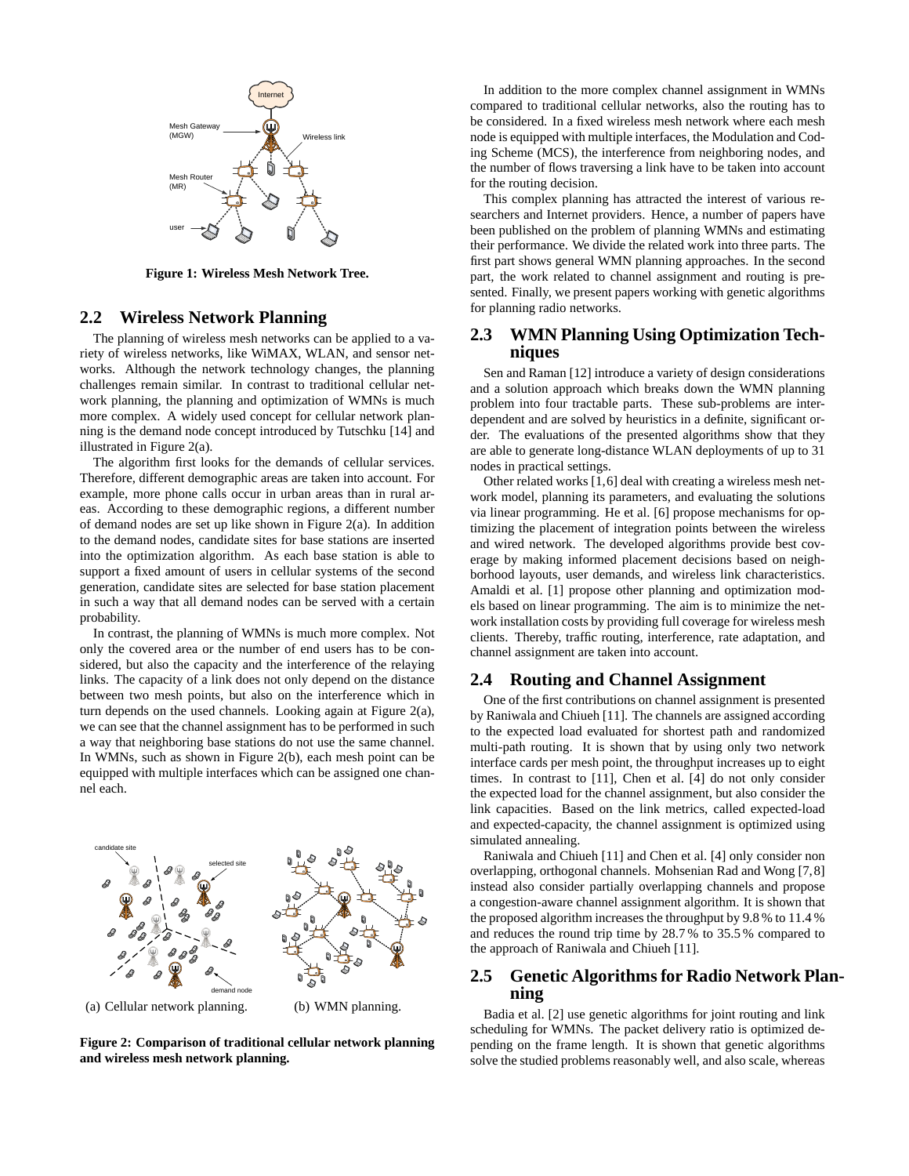

**Figure 1: Wireless Mesh Network Tree.**

## **2.2 Wireless Network Planning**

The planning of wireless mesh networks can be applied to a variety of wireless networks, like WiMAX, WLAN, and sensor networks. Although the network technology changes, the planning challenges remain similar. In contrast to traditional cellular network planning, the planning and optimization of WMNs is much more complex. A widely used concept for cellular network planning is the demand node concept introduced by Tutschku [14] and illustrated in Figure 2(a).

The algorithm first looks for the demands of cellular services. Therefore, different demographic areas are taken into account. For example, more phone calls occur in urban areas than in rural areas. According to these demographic regions, a different number of demand nodes are set up like shown in Figure 2(a). In addition to the demand nodes, candidate sites for base stations are inserted into the optimization algorithm. As each base station is able to support a fixed amount of users in cellular systems of the second generation, candidate sites are selected for base station placement in such a way that all demand nodes can be served with a certain probability.

In contrast, the planning of WMNs is much more complex. Not only the covered area or the number of end users has to be considered, but also the capacity and the interference of the relaying links. The capacity of a link does not only depend on the distance between two mesh points, but also on the interference which in turn depends on the used channels. Looking again at Figure 2(a), we can see that the channel assignment has to be performed in such a way that neighboring base stations do not use the same channel. In WMNs, such as shown in Figure 2(b), each mesh point can be equipped with multiple interfaces which can be assigned one channel each.

# candidate site selected site demand node

(a) Cellular network planning. (b) WMN planning.

**Figure 2: Comparison of traditional cellular network planning and wireless mesh network planning.**

In addition to the more complex channel assignment in WMNs compared to traditional cellular networks, also the routing has to be considered. In a fixed wireless mesh network where each mesh node is equipped with multiple interfaces, the Modulation and Coding Scheme (MCS), the interference from neighboring nodes, and the number of flows traversing a link have to be taken into account for the routing decision.

This complex planning has attracted the interest of various researchers and Internet providers. Hence, a number of papers have been published on the problem of planning WMNs and estimating their performance. We divide the related work into three parts. The first part shows general WMN planning approaches. In the second part, the work related to channel assignment and routing is presented. Finally, we present papers working with genetic algorithms for planning radio networks.

## **2.3 WMN Planning Using Optimization Techniques**

Sen and Raman [12] introduce a variety of design considerations and a solution approach which breaks down the WMN planning problem into four tractable parts. These sub-problems are interdependent and are solved by heuristics in a definite, significant order. The evaluations of the presented algorithms show that they are able to generate long-distance WLAN deployments of up to 31 nodes in practical settings.

Other related works [1,6] deal with creating a wireless mesh network model, planning its parameters, and evaluating the solutions via linear programming. He et al. [6] propose mechanisms for optimizing the placement of integration points between the wireless and wired network. The developed algorithms provide best coverage by making informed placement decisions based on neighborhood layouts, user demands, and wireless link characteristics. Amaldi et al. [1] propose other planning and optimization models based on linear programming. The aim is to minimize the network installation costs by providing full coverage for wireless mesh clients. Thereby, traffic routing, interference, rate adaptation, and channel assignment are taken into account.

#### **2.4 Routing and Channel Assignment**

One of the first contributions on channel assignment is presented by Raniwala and Chiueh [11]. The channels are assigned according to the expected load evaluated for shortest path and randomized multi-path routing. It is shown that by using only two network interface cards per mesh point, the throughput increases up to eight times. In contrast to [11], Chen et al. [4] do not only consider the expected load for the channel assignment, but also consider the link capacities. Based on the link metrics, called expected-load and expected-capacity, the channel assignment is optimized using simulated annealing.

Raniwala and Chiueh [11] and Chen et al. [4] only consider non overlapping, orthogonal channels. Mohsenian Rad and Wong [7,8] instead also consider partially overlapping channels and propose a congestion-aware channel assignment algorithm. It is shown that the proposed algorithm increases the throughput by 9.8 % to 11.4 % and reduces the round trip time by 28.7 % to 35.5 % compared to the approach of Raniwala and Chiueh [11].

## **2.5 Genetic Algorithms for Radio Network Planning**

Badia et al. [2] use genetic algorithms for joint routing and link scheduling for WMNs. The packet delivery ratio is optimized depending on the frame length. It is shown that genetic algorithms solve the studied problems reasonably well, and also scale, whereas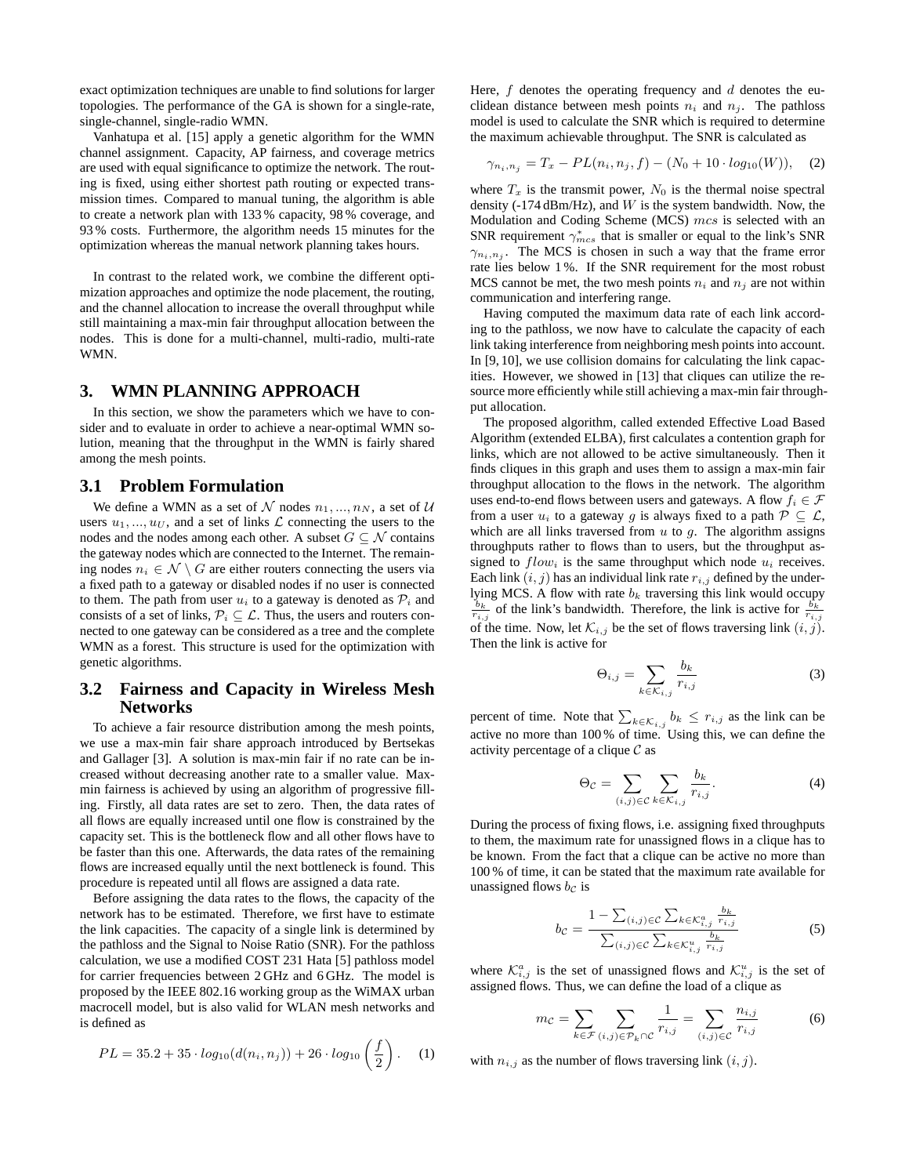exact optimization techniques are unable to find solutions for larger topologies. The performance of the GA is shown for a single-rate, single-channel, single-radio WMN.

Vanhatupa et al. [15] apply a genetic algorithm for the WMN channel assignment. Capacity, AP fairness, and coverage metrics are used with equal significance to optimize the network. The routing is fixed, using either shortest path routing or expected transmission times. Compared to manual tuning, the algorithm is able to create a network plan with 133 % capacity, 98 % coverage, and 93 % costs. Furthermore, the algorithm needs 15 minutes for the optimization whereas the manual network planning takes hours.

In contrast to the related work, we combine the different optimization approaches and optimize the node placement, the routing, and the channel allocation to increase the overall throughput while still maintaining a max-min fair throughput allocation between the nodes. This is done for a multi-channel, multi-radio, multi-rate WMN.

## **3. WMN PLANNING APPROACH**

In this section, we show the parameters which we have to consider and to evaluate in order to achieve a near-optimal WMN solution, meaning that the throughput in the WMN is fairly shared among the mesh points.

## **3.1 Problem Formulation**

We define a WMN as a set of  $N$  nodes  $n_1, ..., n_N$ , a set of U users  $u_1, ..., u_U$ , and a set of links  $\mathcal L$  connecting the users to the nodes and the nodes among each other. A subset  $G \subseteq \mathcal{N}$  contains the gateway nodes which are connected to the Internet. The remaining nodes  $n_i \in \mathcal{N} \setminus G$  are either routers connecting the users via a fixed path to a gateway or disabled nodes if no user is connected to them. The path from user  $u_i$  to a gateway is denoted as  $\mathcal{P}_i$  and consists of a set of links,  $P_i \subseteq \mathcal{L}$ . Thus, the users and routers connected to one gateway can be considered as a tree and the complete WMN as a forest. This structure is used for the optimization with genetic algorithms.

## **3.2 Fairness and Capacity in Wireless Mesh Networks**

To achieve a fair resource distribution among the mesh points, we use a max-min fair share approach introduced by Bertsekas and Gallager [3]. A solution is max-min fair if no rate can be increased without decreasing another rate to a smaller value. Maxmin fairness is achieved by using an algorithm of progressive filling. Firstly, all data rates are set to zero. Then, the data rates of all flows are equally increased until one flow is constrained by the capacity set. This is the bottleneck flow and all other flows have to be faster than this one. Afterwards, the data rates of the remaining flows are increased equally until the next bottleneck is found. This procedure is repeated until all flows are assigned a data rate.

Before assigning the data rates to the flows, the capacity of the network has to be estimated. Therefore, we first have to estimate the link capacities. The capacity of a single link is determined by the pathloss and the Signal to Noise Ratio (SNR). For the pathloss calculation, we use a modified COST 231 Hata [5] pathloss model for carrier frequencies between 2 GHz and 6 GHz. The model is proposed by the IEEE 802.16 working group as the WiMAX urban macrocell model, but is also valid for WLAN mesh networks and is defined as

$$
PL = 35.2 + 35 \cdot log_{10}(d(n_i, n_j)) + 26 \cdot log_{10}\left(\frac{f}{2}\right). \tag{1}
$$

Here,  $f$  denotes the operating frequency and  $d$  denotes the euclidean distance between mesh points  $n_i$  and  $n_j$ . The pathloss model is used to calculate the SNR which is required to determine the maximum achievable throughput. The SNR is calculated as

$$
\gamma_{n_i, n_j} = T_x - PL(n_i, n_j, f) - (N_0 + 10 \cdot log_{10}(W)), \quad (2)
$$

where  $T_x$  is the transmit power,  $N_0$  is the thermal noise spectral density (-174 dBm/Hz), and  $W$  is the system bandwidth. Now, the Modulation and Coding Scheme (MCS) mcs is selected with an SNR requirement  $\gamma_{mes}^*$  that is smaller or equal to the link's SNR  $\gamma_{n_i,n_j}$ . The MCS is chosen in such a way that the frame error rate lies below 1 %. If the SNR requirement for the most robust MCS cannot be met, the two mesh points  $n_i$  and  $n_j$  are not within communication and interfering range.

Having computed the maximum data rate of each link according to the pathloss, we now have to calculate the capacity of each link taking interference from neighboring mesh points into account. In [9, 10], we use collision domains for calculating the link capacities. However, we showed in [13] that cliques can utilize the resource more efficiently while still achieving a max-min fair throughput allocation.

The proposed algorithm, called extended Effective Load Based Algorithm (extended ELBA), first calculates a contention graph for links, which are not allowed to be active simultaneously. Then it finds cliques in this graph and uses them to assign a max-min fair throughput allocation to the flows in the network. The algorithm uses end-to-end flows between users and gateways. A flow  $f_i \in \mathcal{F}$ from a user  $u_i$  to a gateway g is always fixed to a path  $\mathcal{P} \subseteq \mathcal{L}$ , which are all links traversed from  $u$  to  $g$ . The algorithm assigns throughputs rather to flows than to users, but the throughput assigned to  $flow_i$  is the same throughput which node  $u_i$  receives. Each link  $(i, j)$  has an individual link rate  $r_{i,j}$  defined by the underlying MCS. A flow with rate  $b_k$  traversing this link would occupy  $\frac{b_k}{r_{i,j}}$  of the link's bandwidth. Therefore, the link is active for  $\frac{b_k}{r_{i,j}}$ of the time. Now, let  $\mathcal{K}_{i,j}$  be the set of flows traversing link  $(i, j)$ . Then the link is active for

$$
\Theta_{i,j} = \sum_{k \in \mathcal{K}_{i,j}} \frac{b_k}{r_{i,j}} \tag{3}
$$

percent of time. Note that  $\sum_{k \in \mathcal{K}_{i,j}} b_k \leq r_{i,j}$  as the link can be active no more than 100 % of time. Using this, we can define the activity percentage of a clique  $\mathcal C$  as

$$
\Theta_{\mathcal{C}} = \sum_{(i,j)\in\mathcal{C}} \sum_{k\in\mathcal{K}_{i,j}} \frac{b_k}{r_{i,j}}.
$$
 (4)

During the process of fixing flows, i.e. assigning fixed throughputs to them, the maximum rate for unassigned flows in a clique has to be known. From the fact that a clique can be active no more than 100 % of time, it can be stated that the maximum rate available for unassigned flows  $bc$  is

$$
b_{\mathcal{C}} = \frac{1 - \sum_{(i,j)\in\mathcal{C}} \sum_{k\in\mathcal{K}_{i,j}^a} \frac{b_k}{r_{i,j}}}{\sum_{(i,j)\in\mathcal{C}} \sum_{k\in\mathcal{K}_{i,j}^u} \frac{b_k}{r_{i,j}}}
$$
(5)

where  $\mathcal{K}^a_{i,j}$  is the set of unassigned flows and  $\mathcal{K}^u_{i,j}$  is the set of assigned flows. Thus, we can define the load of a clique as

$$
m_{\mathcal{C}} = \sum_{k \in \mathcal{F}} \sum_{(i,j) \in \mathcal{P}_k \cap \mathcal{C}} \frac{1}{r_{i,j}} = \sum_{(i,j) \in \mathcal{C}} \frac{n_{i,j}}{r_{i,j}} \tag{6}
$$

with  $n_{i,j}$  as the number of flows traversing link  $(i, j)$ .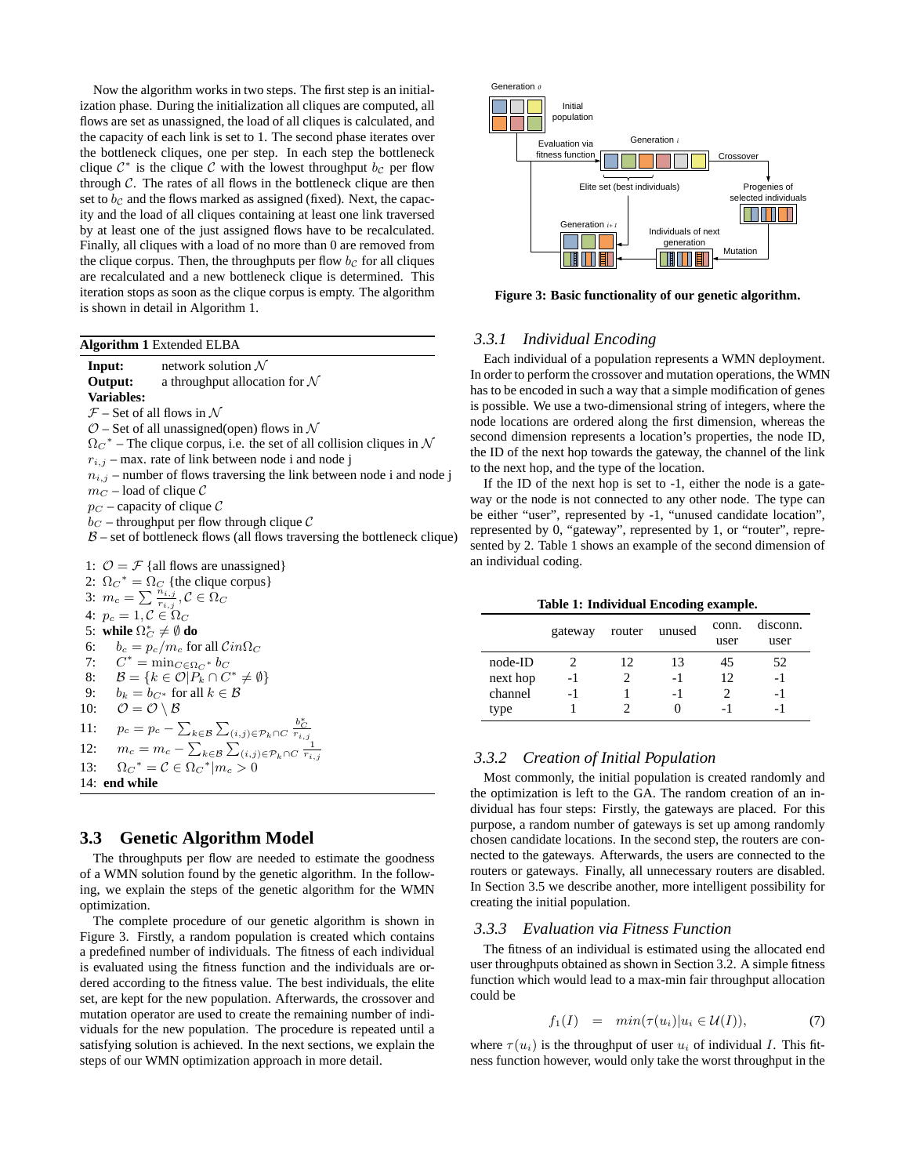Now the algorithm works in two steps. The first step is an initialization phase. During the initialization all cliques are computed, all flows are set as unassigned, the load of all cliques is calculated, and the capacity of each link is set to 1. The second phase iterates over the bottleneck cliques, one per step. In each step the bottleneck clique  $C^*$  is the clique C with the lowest throughput  $bc$  per flow through  $C$ . The rates of all flows in the bottleneck clique are then set to  $b<sub>c</sub>$  and the flows marked as assigned (fixed). Next, the capacity and the load of all cliques containing at least one link traversed by at least one of the just assigned flows have to be recalculated. Finally, all cliques with a load of no more than 0 are removed from the clique corpus. Then, the throughputs per flow  $b<sub>c</sub>$  for all cliques are recalculated and a new bottleneck clique is determined. This iteration stops as soon as the clique corpus is empty. The algorithm is shown in detail in Algorithm 1.

#### **Algorithm 1** Extended ELBA

**Input:** network solution  $\mathcal N$ **Output:** a throughput allocation for N **Variables:**  $F$  – Set of all flows in  $\mathcal N$  $O$  – Set of all unassigned(open) flows in  $\mathcal N$  $\Omega_{\rm C}^*$  – The clique corpus, i.e. the set of all collision cliques in  $\mathcal N$  $r_{i,j}$  – max. rate of link between node i and node j  $n_{i,j}$  – number of flows traversing the link between node i and node j  $m_C$  – load of clique  $C$  $p_C$  – capacity of clique C  $b<sub>C</sub>$  – throughput per flow through clique C  $\beta$  – set of bottleneck flows (all flows traversing the bottleneck clique) 1:  $\mathcal{O} = \mathcal{F}$  {all flows are unassigned} 2:  $\Omega_C^* = \Omega_C$  {the clique corpus} 3:  $m_c = \sum \frac{\tilde{n}_{i,j}}{r_{i,j}}, C \in \Omega_C$ 4:  $p_c = 1, \mathcal{C} \in \Omega_C$ 5: **while**  $\Omega_C^* \neq \emptyset$  do 6:  $b_c = p_c/m_c$  for all  $Cin\Omega_C$ 7:  $C^* = \min_{C \in \Omega_C^*} b_C$ 8:  $\mathcal{B} = \{k \in \mathcal{O} | P_k \cap C^* \neq \emptyset \}$ 9:  $b_k = b_{C^*}$  for all  $k \in \mathcal{B}$ 10:  $\mathcal{O} = \mathcal{O} \setminus \mathcal{B}$ 11:  $p_c = p_c - \sum_{k \in \mathcal{B}} \sum_{(i,j) \in \mathcal{P}_k \cap C} \frac{b_C^*}{r_{i,j}}$ 12:  $m_c = m_c - \sum_{k \in \mathcal{B}} \sum_{(i,j) \in \mathcal{P}_k \cap C} \frac{1}{r_{i,j}}$ 13:  $\Omega_C^* = C \in \Omega_C^* | m_c > 0$ 14: **end while**

#### **3.3 Genetic Algorithm Model**

The throughputs per flow are needed to estimate the goodness of a WMN solution found by the genetic algorithm. In the following, we explain the steps of the genetic algorithm for the WMN optimization.

The complete procedure of our genetic algorithm is shown in Figure 3. Firstly, a random population is created which contains a predefined number of individuals. The fitness of each individual is evaluated using the fitness function and the individuals are ordered according to the fitness value. The best individuals, the elite set, are kept for the new population. Afterwards, the crossover and mutation operator are used to create the remaining number of individuals for the new population. The procedure is repeated until a satisfying solution is achieved. In the next sections, we explain the steps of our WMN optimization approach in more detail.



**Figure 3: Basic functionality of our genetic algorithm.**

## *3.3.1 Individual Encoding*

Each individual of a population represents a WMN deployment. In order to perform the crossover and mutation operations, the WMN has to be encoded in such a way that a simple modification of genes is possible. We use a two-dimensional string of integers, where the node locations are ordered along the first dimension, whereas the second dimension represents a location's properties, the node ID, the ID of the next hop towards the gateway, the channel of the link to the next hop, and the type of the location.

If the ID of the next hop is set to -1, either the node is a gateway or the node is not connected to any other node. The type can be either "user", represented by -1, "unused candidate location", represented by 0, "gateway", represented by 1, or "router", represented by 2. Table 1 shows an example of the second dimension of an individual coding.

|  | Table 1: Individual Encoding example. |  |  |
|--|---------------------------------------|--|--|
|--|---------------------------------------|--|--|

|          | gateway |    | router unused | conn.<br>user | disconn.<br>user |
|----------|---------|----|---------------|---------------|------------------|
| node-ID  |         | 12 | 13            | 45            | 52               |
| next hop | $-1$    |    | - 1           | 12            | -1               |
| channel  | $-1$    |    | -1            |               | -1               |
| type     |         |    | 0             | - 1           |                  |

## *3.3.2 Creation of Initial Population*

Most commonly, the initial population is created randomly and the optimization is left to the GA. The random creation of an individual has four steps: Firstly, the gateways are placed. For this purpose, a random number of gateways is set up among randomly chosen candidate locations. In the second step, the routers are connected to the gateways. Afterwards, the users are connected to the routers or gateways. Finally, all unnecessary routers are disabled. In Section 3.5 we describe another, more intelligent possibility for creating the initial population.

#### *3.3.3 Evaluation via Fitness Function*

The fitness of an individual is estimated using the allocated end user throughputs obtained as shown in Section 3.2. A simple fitness function which would lead to a max-min fair throughput allocation could be

$$
f_1(I) = min(\tau(u_i)|u_i \in \mathcal{U}(I)), \tag{7}
$$

where  $\tau(u_i)$  is the throughput of user  $u_i$  of individual I. This fitness function however, would only take the worst throughput in the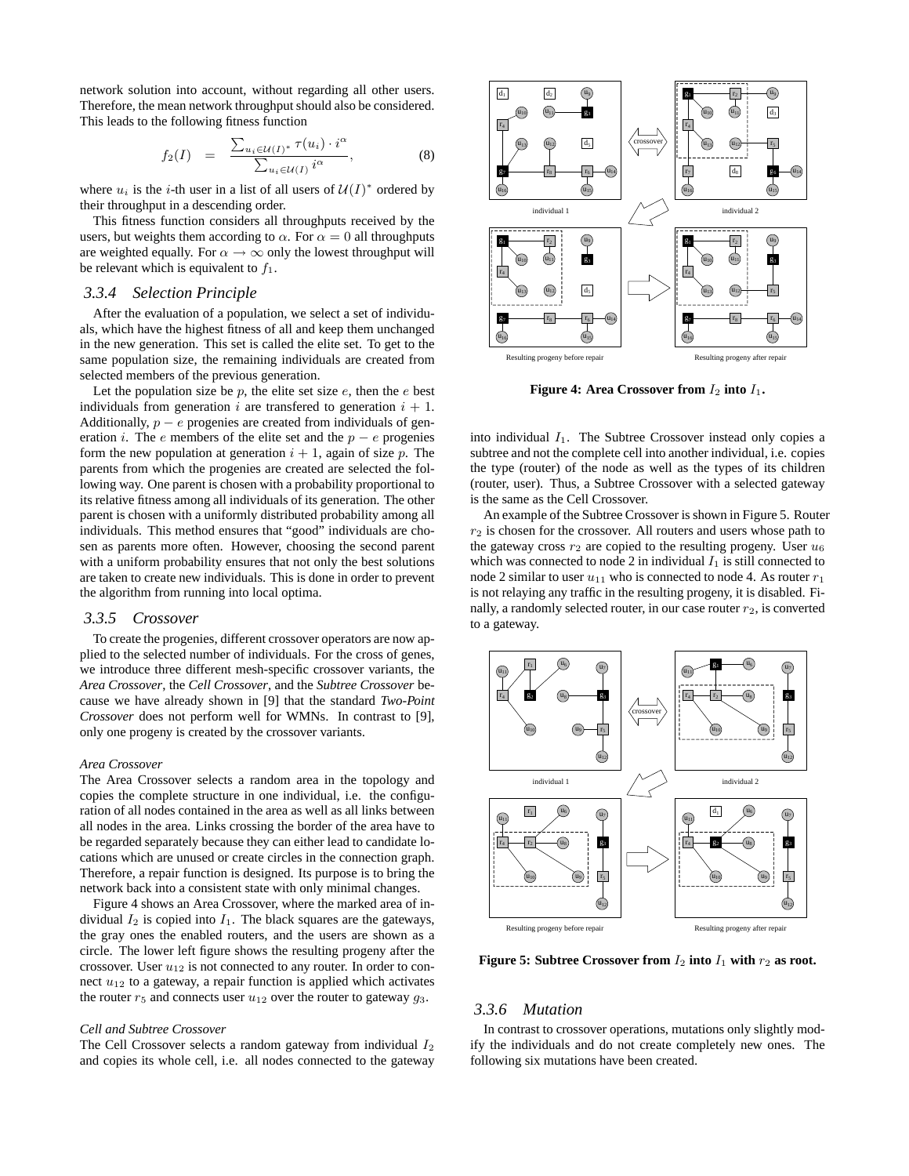network solution into account, without regarding all other users. Therefore, the mean network throughput should also be considered. This leads to the following fitness function

$$
f_2(I) = \frac{\sum_{u_i \in \mathcal{U}(I)^*} \tau(u_i) \cdot i^{\alpha}}{\sum_{u_i \in \mathcal{U}(I)} i^{\alpha}}, \tag{8}
$$

where  $u_i$  is the *i*-th user in a list of all users of  $\mathcal{U}(I)^*$  ordered by their throughput in a descending order.

This fitness function considers all throughputs received by the users, but weights them according to  $\alpha$ . For  $\alpha = 0$  all throughputs are weighted equally. For  $\alpha \rightarrow \infty$  only the lowest throughput will be relevant which is equivalent to  $f_1$ .

## *3.3.4 Selection Principle*

After the evaluation of a population, we select a set of individuals, which have the highest fitness of all and keep them unchanged in the new generation. This set is called the elite set. To get to the same population size, the remaining individuals are created from selected members of the previous generation.

Let the population size be  $p$ , the elite set size  $e$ , then the  $e$  best individuals from generation i are transferred to generation  $i + 1$ . Additionally,  $p - e$  progenies are created from individuals of generation *i*. The *e* members of the elite set and the  $p - e$  progenies form the new population at generation  $i + 1$ , again of size p. The parents from which the progenies are created are selected the following way. One parent is chosen with a probability proportional to its relative fitness among all individuals of its generation. The other parent is chosen with a uniformly distributed probability among all individuals. This method ensures that "good" individuals are chosen as parents more often. However, choosing the second parent with a uniform probability ensures that not only the best solutions are taken to create new individuals. This is done in order to prevent the algorithm from running into local optima.

#### *3.3.5 Crossover*

To create the progenies, different crossover operators are now applied to the selected number of individuals. For the cross of genes, we introduce three different mesh-specific crossover variants, the *Area Crossover*, the *Cell Crossover*, and the *Subtree Crossover* because we have already shown in [9] that the standard *Two-Point Crossover* does not perform well for WMNs. In contrast to [9], only one progeny is created by the crossover variants.

#### *Area Crossover*

The Area Crossover selects a random area in the topology and copies the complete structure in one individual, i.e. the configuration of all nodes contained in the area as well as all links between all nodes in the area. Links crossing the border of the area have to be regarded separately because they can either lead to candidate locations which are unused or create circles in the connection graph. Therefore, a repair function is designed. Its purpose is to bring the network back into a consistent state with only minimal changes.

Figure 4 shows an Area Crossover, where the marked area of individual  $I_2$  is copied into  $I_1$ . The black squares are the gateways, the gray ones the enabled routers, and the users are shown as a circle. The lower left figure shows the resulting progeny after the crossover. User  $u_{12}$  is not connected to any router. In order to connect  $u_{12}$  to a gateway, a repair function is applied which activates the router  $r_5$  and connects user  $u_{12}$  over the router to gateway  $g_3$ .

#### *Cell and Subtree Crossover*

The Cell Crossover selects a random gateway from individual  $I_2$ and copies its whole cell, i.e. all nodes connected to the gateway



**Figure 4: Area Crossover from**  $I_2$  **into**  $I_1$ **.** 

into individual  $I_1$ . The Subtree Crossover instead only copies a subtree and not the complete cell into another individual, i.e. copies the type (router) of the node as well as the types of its children (router, user). Thus, a Subtree Crossover with a selected gateway is the same as the Cell Crossover.

An example of the Subtree Crossover is shown in Figure 5. Router  $r<sub>2</sub>$  is chosen for the crossover. All routers and users whose path to the gateway cross  $r_2$  are copied to the resulting progeny. User  $u_6$ which was connected to node 2 in individual  $I_1$  is still connected to node 2 similar to user  $u_{11}$  who is connected to node 4. As router  $r_1$ is not relaying any traffic in the resulting progeny, it is disabled. Finally, a randomly selected router, in our case router  $r_2$ , is converted to a gateway.



**Figure 5: Subtree Crossover from**  $I_2$  **into**  $I_1$  **with**  $r_2$  **as root.** 

#### *3.3.6 Mutation*

In contrast to crossover operations, mutations only slightly modify the individuals and do not create completely new ones. The following six mutations have been created.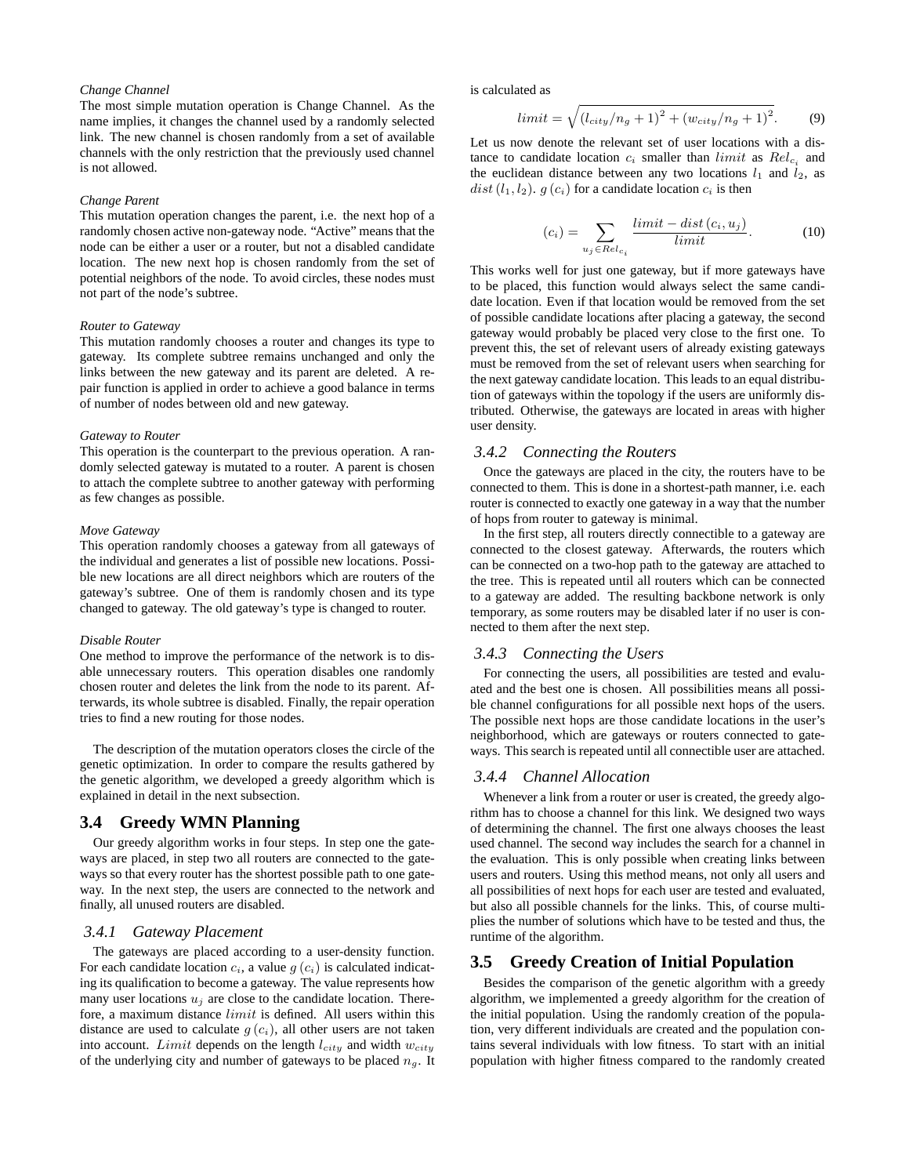#### *Change Channel*

The most simple mutation operation is Change Channel. As the name implies, it changes the channel used by a randomly selected link. The new channel is chosen randomly from a set of available channels with the only restriction that the previously used channel is not allowed.

#### *Change Parent*

This mutation operation changes the parent, i.e. the next hop of a randomly chosen active non-gateway node. "Active" means that the node can be either a user or a router, but not a disabled candidate location. The new next hop is chosen randomly from the set of potential neighbors of the node. To avoid circles, these nodes must not part of the node's subtree.

#### *Router to Gateway*

This mutation randomly chooses a router and changes its type to gateway. Its complete subtree remains unchanged and only the links between the new gateway and its parent are deleted. A repair function is applied in order to achieve a good balance in terms of number of nodes between old and new gateway.

#### *Gateway to Router*

This operation is the counterpart to the previous operation. A randomly selected gateway is mutated to a router. A parent is chosen to attach the complete subtree to another gateway with performing as few changes as possible.

#### *Move Gateway*

This operation randomly chooses a gateway from all gateways of the individual and generates a list of possible new locations. Possible new locations are all direct neighbors which are routers of the gateway's subtree. One of them is randomly chosen and its type changed to gateway. The old gateway's type is changed to router.

#### *Disable Router*

One method to improve the performance of the network is to disable unnecessary routers. This operation disables one randomly chosen router and deletes the link from the node to its parent. Afterwards, its whole subtree is disabled. Finally, the repair operation tries to find a new routing for those nodes.

The description of the mutation operators closes the circle of the genetic optimization. In order to compare the results gathered by the genetic algorithm, we developed a greedy algorithm which is explained in detail in the next subsection.

## **3.4 Greedy WMN Planning**

Our greedy algorithm works in four steps. In step one the gateways are placed, in step two all routers are connected to the gateways so that every router has the shortest possible path to one gateway. In the next step, the users are connected to the network and finally, all unused routers are disabled.

#### *3.4.1 Gateway Placement*

The gateways are placed according to a user-density function. For each candidate location  $c_i$ , a value  $g(c_i)$  is calculated indicating its qualification to become a gateway. The value represents how many user locations  $u_i$  are close to the candidate location. Therefore, a maximum distance limit is defined. All users within this distance are used to calculate  $g(c_i)$ , all other users are not taken into account. Limit depends on the length  $l_{city}$  and width  $w_{city}$ of the underlying city and number of gateways to be placed  $n<sub>g</sub>$ . It

is calculated as

$$
limit = \sqrt{(l_{city}/n_g + 1)^2 + (w_{city}/n_g + 1)^2}.
$$
 (9)

Let us now denote the relevant set of user locations with a distance to candidate location  $c_i$  smaller than *limit* as  $Rel_{c_i}$  and the euclidean distance between any two locations  $l_1$  and  $l_2$ , as dist  $(l_1, l_2)$ .  $g(c_i)$  for a candidate location  $c_i$  is then

$$
(c_i) = \sum_{u_j \in Rel_{c_i}} \frac{\text{limit} - \text{dist}(c_i, u_j)}{\text{limit}}.
$$
 (10)

This works well for just one gateway, but if more gateways have to be placed, this function would always select the same candidate location. Even if that location would be removed from the set of possible candidate locations after placing a gateway, the second gateway would probably be placed very close to the first one. To prevent this, the set of relevant users of already existing gateways must be removed from the set of relevant users when searching for the next gateway candidate location. This leads to an equal distribution of gateways within the topology if the users are uniformly distributed. Otherwise, the gateways are located in areas with higher user density.

#### *3.4.2 Connecting the Routers*

Once the gateways are placed in the city, the routers have to be connected to them. This is done in a shortest-path manner, i.e. each router is connected to exactly one gateway in a way that the number of hops from router to gateway is minimal.

In the first step, all routers directly connectible to a gateway are connected to the closest gateway. Afterwards, the routers which can be connected on a two-hop path to the gateway are attached to the tree. This is repeated until all routers which can be connected to a gateway are added. The resulting backbone network is only temporary, as some routers may be disabled later if no user is connected to them after the next step.

#### *3.4.3 Connecting the Users*

For connecting the users, all possibilities are tested and evaluated and the best one is chosen. All possibilities means all possible channel configurations for all possible next hops of the users. The possible next hops are those candidate locations in the user's neighborhood, which are gateways or routers connected to gateways. This search is repeated until all connectible user are attached.

#### *3.4.4 Channel Allocation*

Whenever a link from a router or user is created, the greedy algorithm has to choose a channel for this link. We designed two ways of determining the channel. The first one always chooses the least used channel. The second way includes the search for a channel in the evaluation. This is only possible when creating links between users and routers. Using this method means, not only all users and all possibilities of next hops for each user are tested and evaluated, but also all possible channels for the links. This, of course multiplies the number of solutions which have to be tested and thus, the runtime of the algorithm.

## **3.5 Greedy Creation of Initial Population**

Besides the comparison of the genetic algorithm with a greedy algorithm, we implemented a greedy algorithm for the creation of the initial population. Using the randomly creation of the population, very different individuals are created and the population contains several individuals with low fitness. To start with an initial population with higher fitness compared to the randomly created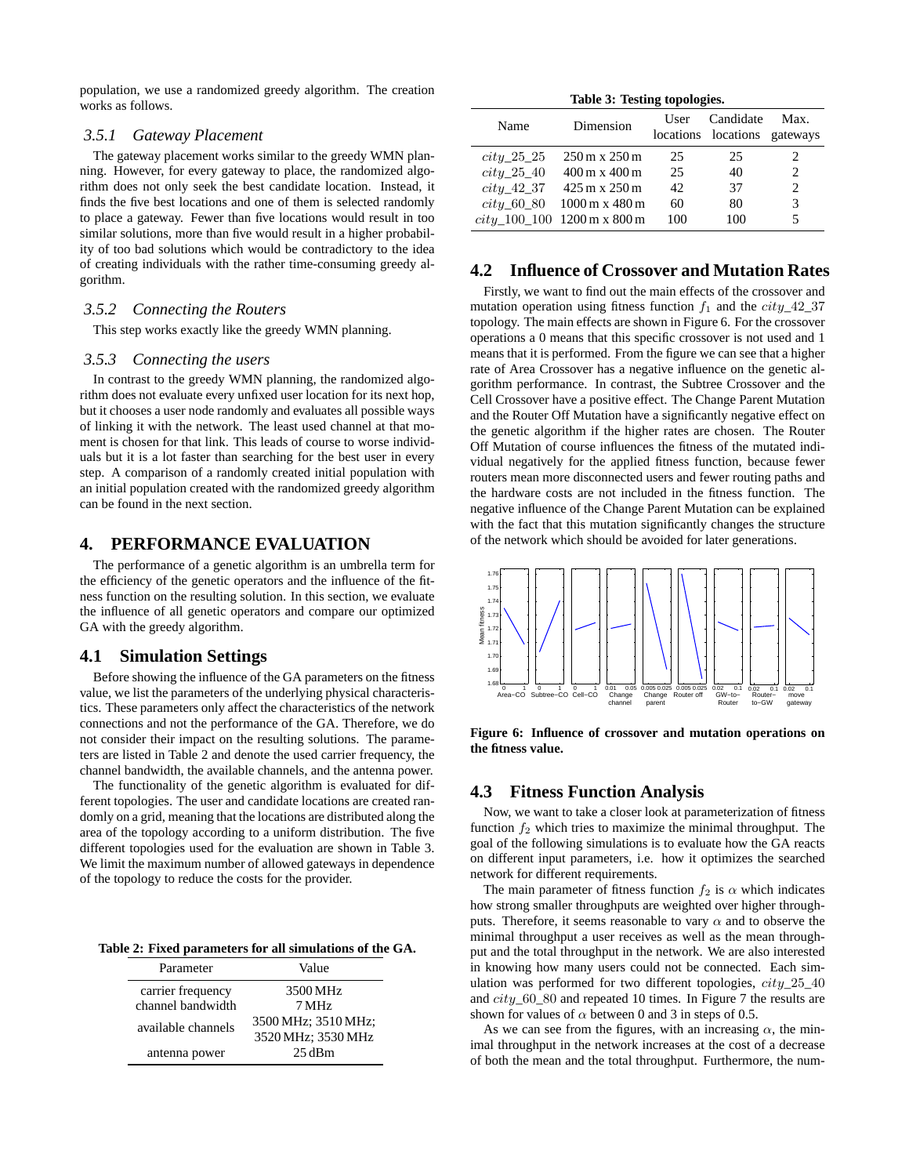population, we use a randomized greedy algorithm. The creation works as follows.

#### *3.5.1 Gateway Placement*

The gateway placement works similar to the greedy WMN planning. However, for every gateway to place, the randomized algorithm does not only seek the best candidate location. Instead, it finds the five best locations and one of them is selected randomly to place a gateway. Fewer than five locations would result in too similar solutions, more than five would result in a higher probability of too bad solutions which would be contradictory to the idea of creating individuals with the rather time-consuming greedy algorithm.

## *3.5.2 Connecting the Routers*

This step works exactly like the greedy WMN planning.

#### *3.5.3 Connecting the users*

In contrast to the greedy WMN planning, the randomized algorithm does not evaluate every unfixed user location for its next hop, but it chooses a user node randomly and evaluates all possible ways of linking it with the network. The least used channel at that moment is chosen for that link. This leads of course to worse individuals but it is a lot faster than searching for the best user in every step. A comparison of a randomly created initial population with an initial population created with the randomized greedy algorithm can be found in the next section.

#### **4. PERFORMANCE EVALUATION**

The performance of a genetic algorithm is an umbrella term for the efficiency of the genetic operators and the influence of the fitness function on the resulting solution. In this section, we evaluate the influence of all genetic operators and compare our optimized GA with the greedy algorithm.

#### **4.1 Simulation Settings**

Before showing the influence of the GA parameters on the fitness value, we list the parameters of the underlying physical characteristics. These parameters only affect the characteristics of the network connections and not the performance of the GA. Therefore, we do not consider their impact on the resulting solutions. The parameters are listed in Table 2 and denote the used carrier frequency, the channel bandwidth, the available channels, and the antenna power.

The functionality of the genetic algorithm is evaluated for different topologies. The user and candidate locations are created randomly on a grid, meaning that the locations are distributed along the area of the topology according to a uniform distribution. The five different topologies used for the evaluation are shown in Table 3. We limit the maximum number of allowed gateways in dependence of the topology to reduce the costs for the provider.

**Table 2: Fixed parameters for all simulations of the GA.**

| Parameter          | Value               |  |  |
|--------------------|---------------------|--|--|
| carrier frequency  | 3500 MHz            |  |  |
| channel bandwidth  | 7 MHz               |  |  |
| available channels | 3500 MHz; 3510 MHz; |  |  |
|                    | 3520 MHz; 3530 MHz  |  |  |
| antenna power      | 25dBm               |  |  |

|  |  | Table 3: Testing topologies. |
|--|--|------------------------------|
|--|--|------------------------------|

| Name           | Dimension                                   | User | Candidate<br>locations locations gateways | Max. |
|----------------|---------------------------------------------|------|-------------------------------------------|------|
| $city_25_25$   | $250 \,\mathrm{m} \times 250 \,\mathrm{m}$  | 25   | 25                                        |      |
| $city_25_40$   | $400 \,\mathrm{m} \times 400 \,\mathrm{m}$  | 25   | 40                                        |      |
| $city\_42\_37$ | $425 \,\mathrm{m} \times 250 \,\mathrm{m}$  | 42   | 37                                        | 2    |
| $city\_60\_80$ | $1000 \,\mathrm{m} \times 480 \,\mathrm{m}$ | 60   | 80                                        | 3    |
|                | $city\_100\_100$ 1200 m x 800 m             | 100  | 100                                       | 5    |

## **4.2 Influence of Crossover and Mutation Rates**

Firstly, we want to find out the main effects of the crossover and mutation operation using fitness function  $f_1$  and the  $city_42_37$ topology. The main effects are shown in Figure 6. For the crossover operations a 0 means that this specific crossover is not used and 1 means that it is performed. From the figure we can see that a higher rate of Area Crossover has a negative influence on the genetic algorithm performance. In contrast, the Subtree Crossover and the Cell Crossover have a positive effect. The Change Parent Mutation and the Router Off Mutation have a significantly negative effect on the genetic algorithm if the higher rates are chosen. The Router Off Mutation of course influences the fitness of the mutated individual negatively for the applied fitness function, because fewer routers mean more disconnected users and fewer routing paths and the hardware costs are not included in the fitness function. The negative influence of the Change Parent Mutation can be explained with the fact that this mutation significantly changes the structure of the network which should be avoided for later generations.



**Figure 6: Influence of crossover and mutation operations on the fitness value.**

## **4.3 Fitness Function Analysis**

Now, we want to take a closer look at parameterization of fitness function  $f_2$  which tries to maximize the minimal throughput. The goal of the following simulations is to evaluate how the GA reacts on different input parameters, i.e. how it optimizes the searched network for different requirements.

The main parameter of fitness function  $f_2$  is  $\alpha$  which indicates how strong smaller throughputs are weighted over higher throughputs. Therefore, it seems reasonable to vary  $\alpha$  and to observe the minimal throughput a user receives as well as the mean throughput and the total throughput in the network. We are also interested in knowing how many users could not be connected. Each simulation was performed for two different topologies,  $city_225_40$ and city\_60\_80 and repeated 10 times. In Figure 7 the results are shown for values of  $\alpha$  between 0 and 3 in steps of 0.5.

As we can see from the figures, with an increasing  $\alpha$ , the minimal throughput in the network increases at the cost of a decrease of both the mean and the total throughput. Furthermore, the num-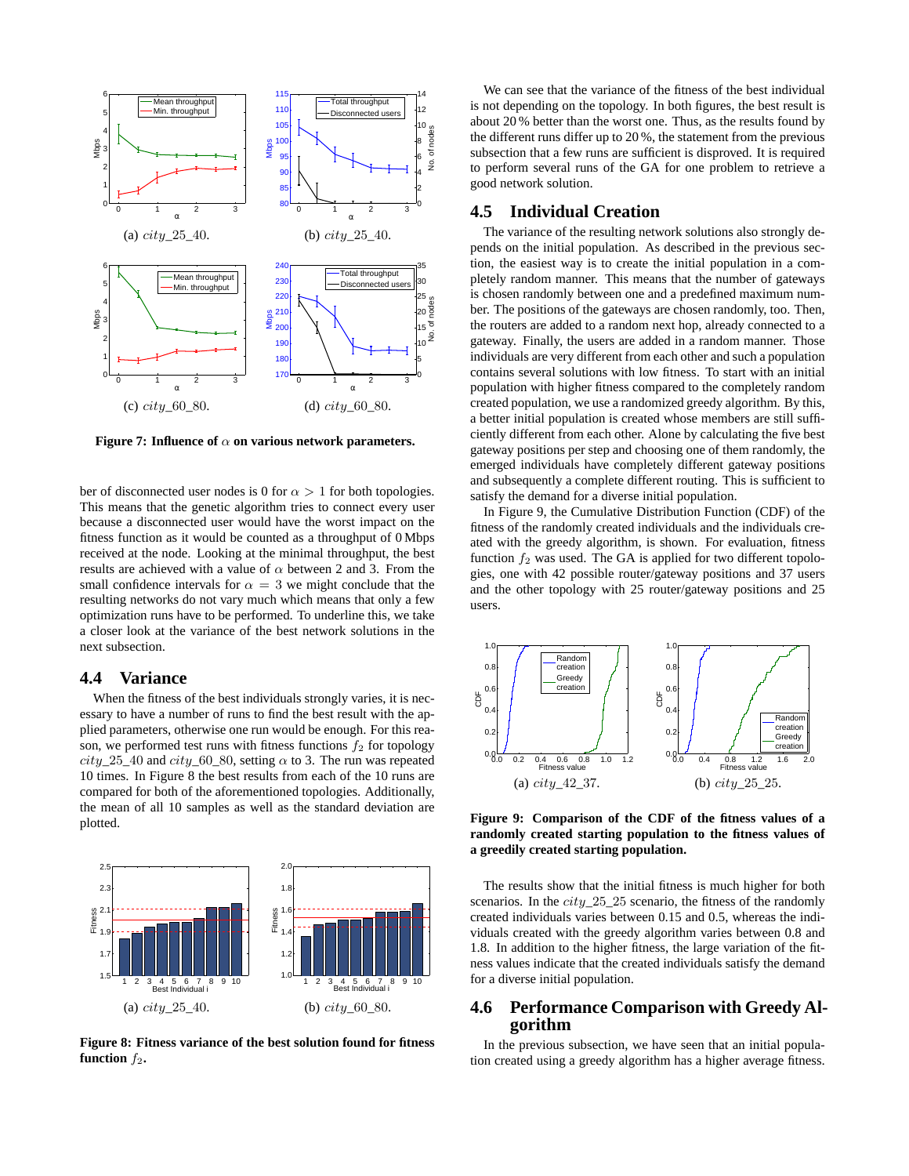

**Figure 7: Influence of**  $\alpha$  on various network parameters.

ber of disconnected user nodes is 0 for  $\alpha > 1$  for both topologies. This means that the genetic algorithm tries to connect every user because a disconnected user would have the worst impact on the fitness function as it would be counted as a throughput of 0 Mbps received at the node. Looking at the minimal throughput, the best results are achieved with a value of  $\alpha$  between 2 and 3. From the small confidence intervals for  $\alpha = 3$  we might conclude that the resulting networks do not vary much which means that only a few optimization runs have to be performed. To underline this, we take a closer look at the variance of the best network solutions in the next subsection.

## **4.4 Variance**

When the fitness of the best individuals strongly varies, it is necessary to have a number of runs to find the best result with the applied parameters, otherwise one run would be enough. For this reason, we performed test runs with fitness functions  $f_2$  for topology  $city_25_40$  and  $city_60_80$ , setting  $\alpha$  to 3. The run was repeated 10 times. In Figure 8 the best results from each of the 10 runs are compared for both of the aforementioned topologies. Additionally, the mean of all 10 samples as well as the standard deviation are plotted.



**Figure 8: Fitness variance of the best solution found for fitness function**  $f_2$ .

We can see that the variance of the fitness of the best individual is not depending on the topology. In both figures, the best result is about 20 % better than the worst one. Thus, as the results found by the different runs differ up to 20 %, the statement from the previous subsection that a few runs are sufficient is disproved. It is required to perform several runs of the GA for one problem to retrieve a good network solution.

## **4.5 Individual Creation**

The variance of the resulting network solutions also strongly depends on the initial population. As described in the previous section, the easiest way is to create the initial population in a completely random manner. This means that the number of gateways is chosen randomly between one and a predefined maximum number. The positions of the gateways are chosen randomly, too. Then, the routers are added to a random next hop, already connected to a gateway. Finally, the users are added in a random manner. Those individuals are very different from each other and such a population contains several solutions with low fitness. To start with an initial population with higher fitness compared to the completely random created population, we use a randomized greedy algorithm. By this, a better initial population is created whose members are still sufficiently different from each other. Alone by calculating the five best gateway positions per step and choosing one of them randomly, the emerged individuals have completely different gateway positions and subsequently a complete different routing. This is sufficient to satisfy the demand for a diverse initial population.

In Figure 9, the Cumulative Distribution Function (CDF) of the fitness of the randomly created individuals and the individuals created with the greedy algorithm, is shown. For evaluation, fitness function  $f_2$  was used. The GA is applied for two different topologies, one with 42 possible router/gateway positions and 37 users and the other topology with 25 router/gateway positions and 25 users.



**Figure 9: Comparison of the CDF of the fitness values of a randomly created starting population to the fitness values of a greedily created starting population.**

The results show that the initial fitness is much higher for both scenarios. In the *city* 25–25 scenario, the fitness of the randomly created individuals varies between 0.15 and 0.5, whereas the individuals created with the greedy algorithm varies between 0.8 and 1.8. In addition to the higher fitness, the large variation of the fitness values indicate that the created individuals satisfy the demand for a diverse initial population.

## **4.6 Performance Comparison with Greedy Algorithm**

In the previous subsection, we have seen that an initial population created using a greedy algorithm has a higher average fitness.